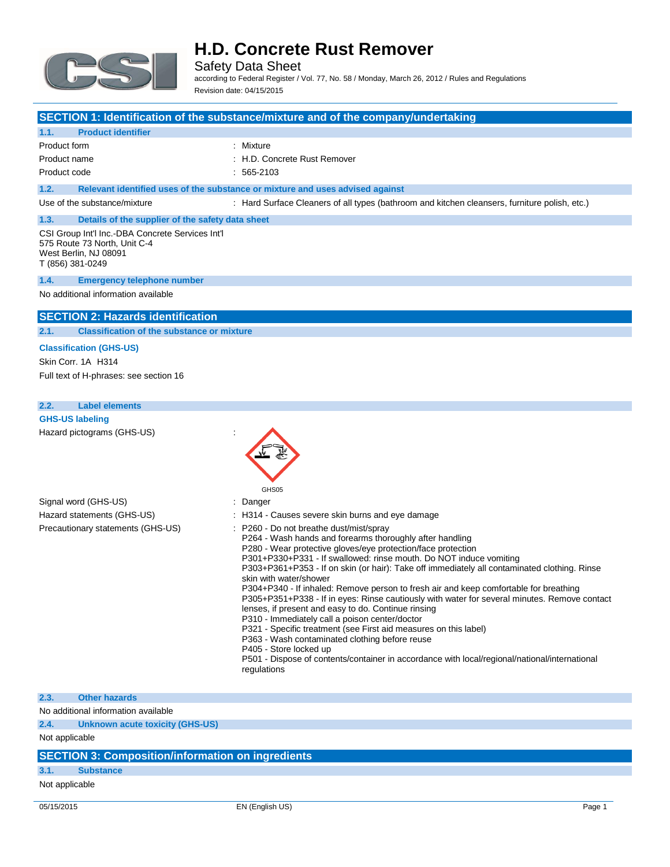

Safety Data Sheet according to Federal Register / Vol. 77, No. 58 / Monday, March 26, 2012 / Rules and Regulations Revision date: 04/15/2015

### **SECTION 1: Identification of the substance/mixture and of the company/undertaking**

### **1.1. Product identifier**

| Product form | : Mixture                  |
|--------------|----------------------------|
| Product name | H.D. Concrete Rust Remover |

Product code : 565-2103

### **1.2. Relevant identified uses of the substance or mixture and uses advised against**

Use of the substance/mixture : Hard Surface Cleaners of all types (bathroom and kitchen cleansers, furniture polish, etc.)

#### **1.3. Details of the supplier of the safety data sheet** CSI Group Int'l Inc.-DBA Concrete Services Int'l 575 Route 73 North, Unit C-4

West Berlin, NJ 08091 T (856) 381-0249

#### **1.4. Emergency telephone number**

No additional information available

### **SECTION 2: Hazards identification**

#### **2.1. Classification of the substance or mixture**

### **Classification (GHS-US)**

Skin Corr. 1A H314 Full text of H-phrases: see section 16

### **2.2. Label elements**

| <b>GHS-US labeling</b>     |  |
|----------------------------|--|
| Hazard pictograms (GHS-US) |  |

|                                   | GHS05                                                                                                                                                                                                                                                                                                                                                                                                                                                                                                                                                                                                                                                                                                                                                                                                                                                                                                                               |
|-----------------------------------|-------------------------------------------------------------------------------------------------------------------------------------------------------------------------------------------------------------------------------------------------------------------------------------------------------------------------------------------------------------------------------------------------------------------------------------------------------------------------------------------------------------------------------------------------------------------------------------------------------------------------------------------------------------------------------------------------------------------------------------------------------------------------------------------------------------------------------------------------------------------------------------------------------------------------------------|
| Signal word (GHS-US)              | : Danger                                                                                                                                                                                                                                                                                                                                                                                                                                                                                                                                                                                                                                                                                                                                                                                                                                                                                                                            |
| Hazard statements (GHS-US)        | : H314 - Causes severe skin burns and eye damage                                                                                                                                                                                                                                                                                                                                                                                                                                                                                                                                                                                                                                                                                                                                                                                                                                                                                    |
| Precautionary statements (GHS-US) | P260 - Do not breathe dust/mist/spray<br>P264 - Wash hands and forearms thoroughly after handling<br>P280 - Wear protective gloves/eye protection/face protection<br>P301+P330+P331 - If swallowed: rinse mouth. Do NOT induce vomiting<br>P303+P361+P353 - If on skin (or hair): Take off immediately all contaminated clothing. Rinse<br>skin with water/shower<br>P304+P340 - If inhaled: Remove person to fresh air and keep comfortable for breathing<br>P305+P351+P338 - If in eyes: Rinse cautiously with water for several minutes. Remove contact<br>lenses, if present and easy to do. Continue rinsing<br>P310 - Immediately call a poison center/doctor<br>P321 - Specific treatment (see First aid measures on this label)<br>P363 - Wash contaminated clothing before reuse<br>P405 - Store locked up<br>P501 - Dispose of contents/container in accordance with local/regional/national/international<br>regulations |

### **2.3. Other hazards**

No additional information available

**2.4. Unknown acute toxicity (GHS-US)**

Not applicable

### **SECTION 3: Composition/information on ingredients**

### **3.1. Substance**

Not applicable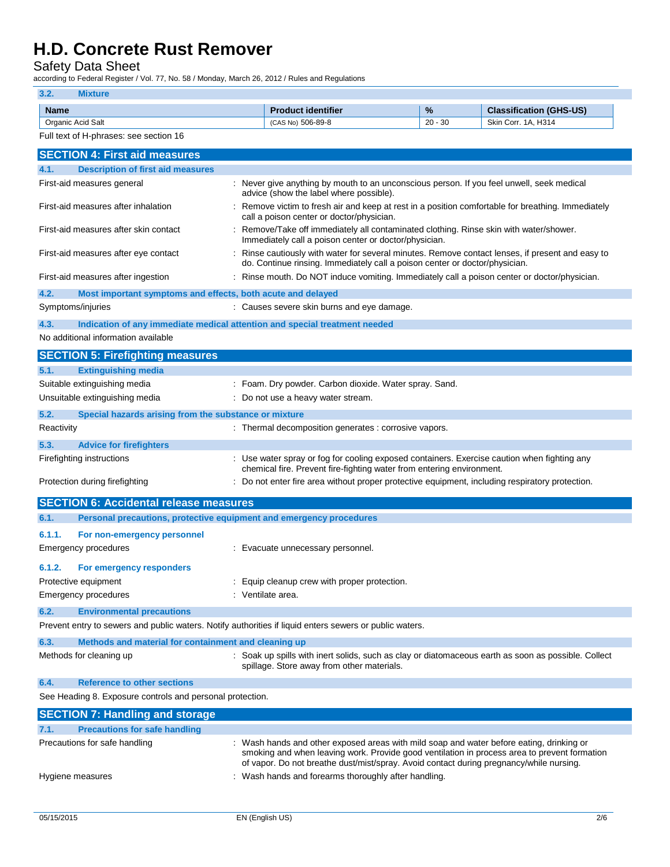Safety Data Sheet

according to Federal Register / Vol. 77, No. 58 / Monday, March 26, 2012 / Rules and Regulations

### **3.2. Mixture**

| <b>Name</b>          | identifier<br>ш<br>duc     | %         | $-0$<br>າ (GHS-US)<br><b>Classification</b> |
|----------------------|----------------------------|-----------|---------------------------------------------|
| Acid Salt<br>Organic | 506-89-8<br>10.85<br>ICAS. | $20 - 30$ | H314<br>3kir<br>Corr<br>$\Delta$<br>.       |

|  |  |  | Full text of H-phrases: see section 16 |  |
|--|--|--|----------------------------------------|--|
|  |  |  |                                        |  |

|                  | <b>SECTION 4: First aid measures</b>                                       |                                                                                                                                                                                                                                                                                     |
|------------------|----------------------------------------------------------------------------|-------------------------------------------------------------------------------------------------------------------------------------------------------------------------------------------------------------------------------------------------------------------------------------|
| 4.1.             | <b>Description of first aid measures</b>                                   |                                                                                                                                                                                                                                                                                     |
|                  | First-aid measures general                                                 | : Never give anything by mouth to an unconscious person. If you feel unwell, seek medical<br>advice (show the label where possible).                                                                                                                                                |
|                  | First-aid measures after inhalation                                        | Remove victim to fresh air and keep at rest in a position comfortable for breathing. Immediately<br>call a poison center or doctor/physician.                                                                                                                                       |
|                  | First-aid measures after skin contact                                      | Remove/Take off immediately all contaminated clothing. Rinse skin with water/shower.<br>Immediately call a poison center or doctor/physician.                                                                                                                                       |
|                  | First-aid measures after eye contact                                       | Rinse cautiously with water for several minutes. Remove contact lenses, if present and easy to<br>do. Continue rinsing. Immediately call a poison center or doctor/physician.                                                                                                       |
|                  | First-aid measures after ingestion                                         | : Rinse mouth. Do NOT induce vomiting. Immediately call a poison center or doctor/physician.                                                                                                                                                                                        |
| 4.2.             | Most important symptoms and effects, both acute and delayed                |                                                                                                                                                                                                                                                                                     |
|                  | Symptoms/injuries                                                          | : Causes severe skin burns and eye damage.                                                                                                                                                                                                                                          |
| 4.3.             | Indication of any immediate medical attention and special treatment needed |                                                                                                                                                                                                                                                                                     |
|                  | No additional information available                                        |                                                                                                                                                                                                                                                                                     |
|                  | <b>SECTION 5: Firefighting measures</b>                                    |                                                                                                                                                                                                                                                                                     |
| 5.1.             | <b>Extinguishing media</b>                                                 |                                                                                                                                                                                                                                                                                     |
|                  | Suitable extinguishing media                                               | : Foam. Dry powder. Carbon dioxide. Water spray. Sand.                                                                                                                                                                                                                              |
|                  | Unsuitable extinguishing media                                             | Do not use a heavy water stream.                                                                                                                                                                                                                                                    |
| 5.2.             | Special hazards arising from the substance or mixture                      |                                                                                                                                                                                                                                                                                     |
| Reactivity       |                                                                            | : Thermal decomposition generates : corrosive vapors.                                                                                                                                                                                                                               |
| 5.3.             | <b>Advice for firefighters</b>                                             |                                                                                                                                                                                                                                                                                     |
|                  | Firefighting instructions                                                  | : Use water spray or fog for cooling exposed containers. Exercise caution when fighting any                                                                                                                                                                                         |
|                  |                                                                            | chemical fire. Prevent fire-fighting water from entering environment.                                                                                                                                                                                                               |
|                  | Protection during firefighting                                             | : Do not enter fire area without proper protective equipment, including respiratory protection.                                                                                                                                                                                     |
|                  | <b>SECTION 6: Accidental release measures</b>                              |                                                                                                                                                                                                                                                                                     |
| 6.1.             | Personal precautions, protective equipment and emergency procedures        |                                                                                                                                                                                                                                                                                     |
| 6.1.1.           | For non-emergency personnel                                                |                                                                                                                                                                                                                                                                                     |
|                  | <b>Emergency procedures</b>                                                | : Evacuate unnecessary personnel.                                                                                                                                                                                                                                                   |
| 6.1.2.           | For emergency responders                                                   |                                                                                                                                                                                                                                                                                     |
|                  | Protective equipment                                                       | Equip cleanup crew with proper protection.                                                                                                                                                                                                                                          |
|                  | <b>Emergency procedures</b>                                                | : Ventilate area.                                                                                                                                                                                                                                                                   |
| 6.2.             | <b>Environmental precautions</b>                                           |                                                                                                                                                                                                                                                                                     |
|                  |                                                                            | Prevent entry to sewers and public waters. Notify authorities if liquid enters sewers or public waters.                                                                                                                                                                             |
| 6.3.             | Methods and material for containment and cleaning up                       |                                                                                                                                                                                                                                                                                     |
|                  | Methods for cleaning up                                                    | : Soak up spills with inert solids, such as clay or diatomaceous earth as soon as possible. Collect                                                                                                                                                                                 |
|                  |                                                                            | spillage. Store away from other materials.                                                                                                                                                                                                                                          |
| 6.4.             | <b>Reference to other sections</b>                                         |                                                                                                                                                                                                                                                                                     |
|                  | See Heading 8. Exposure controls and personal protection.                  |                                                                                                                                                                                                                                                                                     |
|                  | <b>SECTION 7: Handling and storage</b>                                     |                                                                                                                                                                                                                                                                                     |
| 7.1.             | <b>Precautions for safe handling</b>                                       |                                                                                                                                                                                                                                                                                     |
|                  | Precautions for safe handling                                              | : Wash hands and other exposed areas with mild soap and water before eating, drinking or<br>smoking and when leaving work. Provide good ventilation in process area to prevent formation<br>of vapor. Do not breathe dust/mist/spray. Avoid contact during pregnancy/while nursing. |
| Hygiene measures |                                                                            | : Wash hands and forearms thoroughly after handling.                                                                                                                                                                                                                                |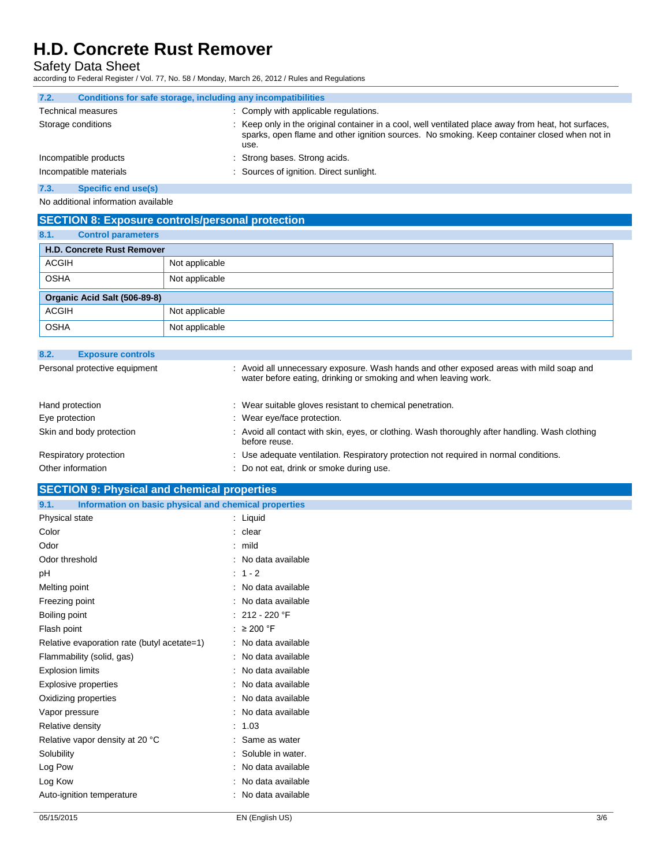Safety Data Sheet

according to Federal Register / Vol. 77, No. 58 / Monday, March 26, 2012 / Rules and Regulations

| 7.2.<br>Conditions for safe storage, including any incompatibilities |                                                                                                                                                                                                              |
|----------------------------------------------------------------------|--------------------------------------------------------------------------------------------------------------------------------------------------------------------------------------------------------------|
| <b>Technical measures</b>                                            | : Comply with applicable regulations.                                                                                                                                                                        |
| Storage conditions                                                   | : Keep only in the original container in a cool, well ventilated place away from heat, hot surfaces,<br>sparks, open flame and other ignition sources. No smoking. Keep container closed when not in<br>use. |
| Incompatible products                                                | : Strong bases. Strong acids.                                                                                                                                                                                |
| Incompatible materials                                               | : Sources of ignition. Direct sunlight.                                                                                                                                                                      |
| $ -$                                                                 |                                                                                                                                                                                                              |

#### **7.3. Specific end use(s)**

No additional information available

### **SECTION 8: Exposure controls/personal protection**

| 8.1.         | <b>Control parameters</b>         |                |  |  |  |
|--------------|-----------------------------------|----------------|--|--|--|
|              | <b>H.D. Concrete Rust Remover</b> |                |  |  |  |
| <b>ACGIH</b> |                                   | Not applicable |  |  |  |
| <b>OSHA</b>  |                                   | Not applicable |  |  |  |
|              | Organic Acid Salt (506-89-8)      |                |  |  |  |
| <b>ACGIH</b> |                                   | Not applicable |  |  |  |
| <b>OSHA</b>  |                                   | Not applicable |  |  |  |

| 8.2.            | <b>Exposure controls</b>      |                                                                                                                                                            |
|-----------------|-------------------------------|------------------------------------------------------------------------------------------------------------------------------------------------------------|
|                 | Personal protective equipment | : Avoid all unnecessary exposure. Wash hands and other exposed areas with mild soap and<br>water before eating, drinking or smoking and when leaving work. |
| Hand protection |                               | : Wear suitable gloves resistant to chemical penetration.                                                                                                  |
| Eye protection  |                               | : Wear eye/face protection.                                                                                                                                |
|                 | Skin and body protection      | : Avoid all contact with skin, eyes, or clothing. Wash thoroughly after handling. Wash clothing<br>before reuse.                                           |
|                 | Respiratory protection        | : Use adequate ventilation. Respiratory protection not required in normal conditions.                                                                      |
|                 | Other information             | : Do not eat, drink or smoke during use.                                                                                                                   |

# **SECTION 9: Physical and chemical properties**

| Information on basic physical and chemical properties<br>9.1. |                         |
|---------------------------------------------------------------|-------------------------|
| Physical state                                                | : Liquid                |
| Color                                                         | : clear                 |
| Odor                                                          | $:$ mild                |
| Odor threshold                                                | : No data available     |
| pH                                                            | $: 1 - 2$               |
| Melting point                                                 | : No data available     |
| Freezing point                                                | : No data available     |
| Boiling point                                                 | : 212 - 220 $\degree$ F |
| Flash point                                                   | : $\geq 200$ °F         |
| Relative evaporation rate (butyl acetate=1)                   | : No data available     |
| Flammability (solid, gas)                                     | : No data available     |
| <b>Explosion limits</b>                                       | : No data available     |
| Explosive properties                                          | : No data available     |
| Oxidizing properties                                          | : No data available     |
| Vapor pressure                                                | : No data available     |
| Relative density                                              | : 1.03                  |
| Relative vapor density at 20 °C                               | : Same as water         |
| Solubility                                                    | : Soluble in water.     |
| Log Pow                                                       | : No data available     |
| Log Kow                                                       | : No data available     |
| Auto-ignition temperature                                     | : No data available     |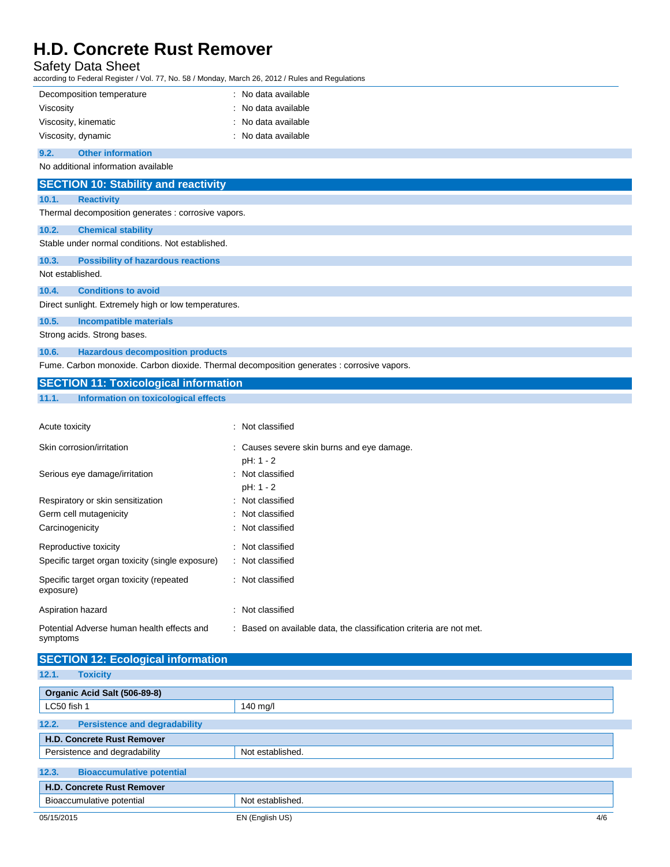## Safety Data Sheet

according to Federal Register / Vol. 77, No. 58 / Monday, March 26, 2012 / Rules and Regulations

| iccording to Federal Register / Vol. 77, No. 58 / Monday, March 26, 2012 / Rules and Regulations |                                            |
|--------------------------------------------------------------------------------------------------|--------------------------------------------|
| Decomposition temperature                                                                        | : No data available                        |
| Viscosity                                                                                        | No data available                          |
| Viscosity, kinematic                                                                             | No data available                          |
| Viscosity, dynamic                                                                               | : No data available                        |
| <b>Other information</b><br>9.2.                                                                 |                                            |
| No additional information available                                                              |                                            |
| <b>SECTION 10: Stability and reactivity</b>                                                      |                                            |
| 10.1.<br><b>Reactivity</b>                                                                       |                                            |
| Thermal decomposition generates : corrosive vapors.                                              |                                            |
| 10.2.<br><b>Chemical stability</b>                                                               |                                            |
| Stable under normal conditions. Not established.                                                 |                                            |
| 10.3.<br><b>Possibility of hazardous reactions</b>                                               |                                            |
| Not established.                                                                                 |                                            |
| 10.4.<br><b>Conditions to avoid</b>                                                              |                                            |
| Direct sunlight. Extremely high or low temperatures.                                             |                                            |
| 10.5.<br><b>Incompatible materials</b>                                                           |                                            |
| Strong acids. Strong bases.                                                                      |                                            |
| 10.6.<br><b>Hazardous decomposition products</b>                                                 |                                            |
| Fume. Carbon monoxide. Carbon dioxide. Thermal decomposition generates : corrosive vapors.       |                                            |
| <b>SECTION 11: Toxicological information</b>                                                     |                                            |
| <b>Information on toxicological effects</b><br>11.1.                                             |                                            |
|                                                                                                  |                                            |
| Acute toxicity                                                                                   | : Not classified                           |
| Skin corrosion/irritation                                                                        | : Causes severe skin burns and eye damage. |
|                                                                                                  | pH: 1 - 2                                  |
| Serious eye damage/irritation                                                                    | Not classified                             |
|                                                                                                  | pH: 1 - 2                                  |
| Respiratory or skin sensitization                                                                | Not classified                             |
| Germ cell mutagenicity<br>Carcinogenicity                                                        | Not classified<br>Not classified           |
|                                                                                                  |                                            |
| Reproductive toxicity                                                                            | : Not classified                           |
| Specific target organ toxicity (single exposure)                                                 | : Not classified                           |
| Specific target organ toxicity (repeated<br>exposure)                                            | : Not classified                           |
| Aspiration hazard                                                                                | Not classified                             |

| <b>SECTION 12: Ecological information</b>     |                        |  |
|-----------------------------------------------|------------------------|--|
| 12.1.<br><b>Toxicity</b>                      |                        |  |
| Organic Acid Salt (506-89-8)                  |                        |  |
| LC50 fish 1                                   | $140$ mg/l             |  |
| 12.2.<br><b>Persistence and degradability</b> |                        |  |
| <b>H.D. Concrete Rust Remover</b>             |                        |  |
| Persistence and degradability                 | Not established.       |  |
| 12.3.<br><b>Bioaccumulative potential</b>     |                        |  |
| <b>H.D. Concrete Rust Remover</b>             |                        |  |
| Bioaccumulative potential                     | Not established.       |  |
| 05/15/2015                                    | EN (English US)<br>4/6 |  |

: Based on available data, the classification criteria are not met.

symptoms

Potential Adverse human health effects and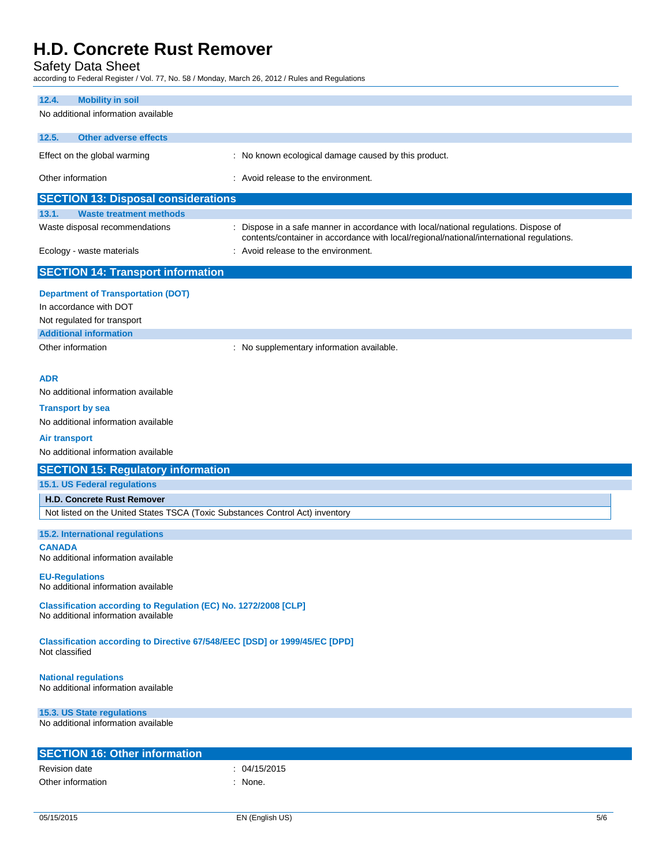Safety Data Sheet<br>according to Federal Register / Vol.

according to Federal Register / Vol. 77, No. 58 / Monday, March 26, 2012 / Rules and Regulations

| iccording to Federal Register / Vol. 77, No. 58 / Monday, March 26, 2012 / Rules and Regulations |                                                                                                                                                                                  |  |
|--------------------------------------------------------------------------------------------------|----------------------------------------------------------------------------------------------------------------------------------------------------------------------------------|--|
| <b>Mobility in soil</b><br>12.4.                                                                 |                                                                                                                                                                                  |  |
| No additional information available                                                              |                                                                                                                                                                                  |  |
| <b>Other adverse effects</b><br>12.5.                                                            |                                                                                                                                                                                  |  |
| Effect on the global warming                                                                     | : No known ecological damage caused by this product.                                                                                                                             |  |
| Other information                                                                                | : Avoid release to the environment.                                                                                                                                              |  |
| <b>SECTION 13: Disposal considerations</b>                                                       |                                                                                                                                                                                  |  |
| <b>Waste treatment methods</b><br>13.1.                                                          |                                                                                                                                                                                  |  |
| Waste disposal recommendations                                                                   | : Dispose in a safe manner in accordance with local/national regulations. Dispose of<br>contents/container in accordance with local/regional/national/international regulations. |  |
| Ecology - waste materials                                                                        | : Avoid release to the environment.                                                                                                                                              |  |
| <b>SECTION 14: Transport information</b>                                                         |                                                                                                                                                                                  |  |
| <b>Department of Transportation (DOT)</b>                                                        |                                                                                                                                                                                  |  |
| In accordance with DOT                                                                           |                                                                                                                                                                                  |  |
| Not regulated for transport                                                                      |                                                                                                                                                                                  |  |
| <b>Additional information</b>                                                                    |                                                                                                                                                                                  |  |
| Other information                                                                                | : No supplementary information available.                                                                                                                                        |  |
|                                                                                                  |                                                                                                                                                                                  |  |
| <b>ADR</b><br>No additional information available                                                |                                                                                                                                                                                  |  |
|                                                                                                  |                                                                                                                                                                                  |  |
| <b>Transport by sea</b>                                                                          |                                                                                                                                                                                  |  |
| No additional information available                                                              |                                                                                                                                                                                  |  |
| Air transport                                                                                    |                                                                                                                                                                                  |  |
| No additional information available                                                              |                                                                                                                                                                                  |  |
| <b>SECTION 15: Regulatory information</b>                                                        |                                                                                                                                                                                  |  |
| 15.1. US Federal regulations                                                                     |                                                                                                                                                                                  |  |
| <b>H.D. Concrete Rust Remover</b>                                                                |                                                                                                                                                                                  |  |
| Not listed on the United States TSCA (Toxic Substances Control Act) inventory                    |                                                                                                                                                                                  |  |
| 15.2. International regulations                                                                  |                                                                                                                                                                                  |  |
| <b>CANADA</b>                                                                                    |                                                                                                                                                                                  |  |
| No additional information available                                                              |                                                                                                                                                                                  |  |
| <b>EU-Regulations</b><br>No additional information available                                     |                                                                                                                                                                                  |  |
| Classification according to Regulation (EC) No. 1272/2008 [CLP]                                  |                                                                                                                                                                                  |  |
| No additional information available                                                              |                                                                                                                                                                                  |  |
| Classification according to Directive 67/548/EEC [DSD] or 1999/45/EC [DPD]<br>Not classified     |                                                                                                                                                                                  |  |
| <b>National regulations</b><br>No additional information available                               |                                                                                                                                                                                  |  |
| 15.3. US State regulations<br>No additional information available                                |                                                                                                                                                                                  |  |
| <b>SECTION 16: Other information</b>                                                             |                                                                                                                                                                                  |  |
| <b>Revision date</b>                                                                             | : 04/15/2015                                                                                                                                                                     |  |
| Other information                                                                                | : None.                                                                                                                                                                          |  |